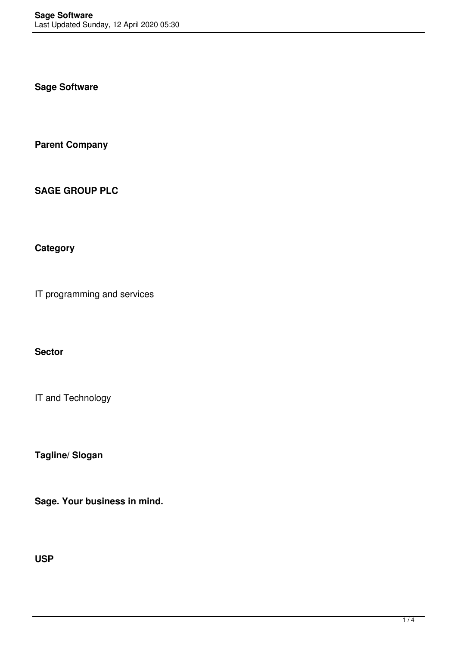**Sage Software**

**Parent Company**

**SAGE GROUP PLC**

**Category**

IT programming and services

**Sector**

IT and Technology

**Tagline/ Slogan**

**Sage. Your business in mind.**

**USP**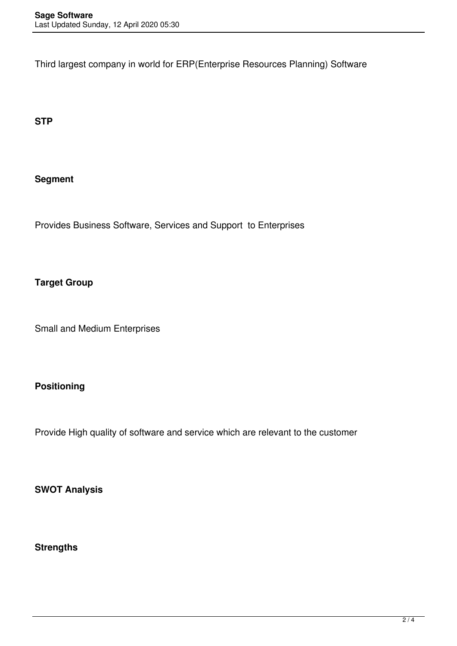Third largest company in world for ERP(Enterprise Resources Planning) Software

**STP**

## **Segment**

Provides Business Software, Services and Support to Enterprises

# **Target Group**

Small and Medium Enterprises

## **Positioning**

Provide High quality of software and service which are relevant to the customer

**SWOT Analysis**

**Strengths**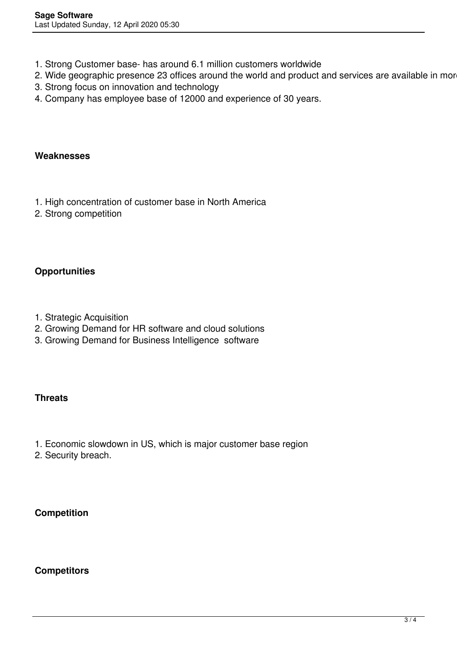- 1. Strong Customer base- has around 6.1 million customers worldwide
- 2. Wide geographic presence 23 offices around the world and product and services are available in mor
- 3. Strong focus on innovation and technology
- 4. Company has employee base of 12000 and experience of 30 years.

#### **Weaknesses**

- 1. High concentration of customer base in North America
- 2. Strong competition

## **Opportunities**

- 1. Strategic Acquisition
- 2. Growing Demand for HR software and cloud solutions
- 3. Growing Demand for Business Intelligence software

## **Threats**

- 1. Economic slowdown in US, which is major customer base region
- 2. Security breach.

## **Competition**

## **Competitors**